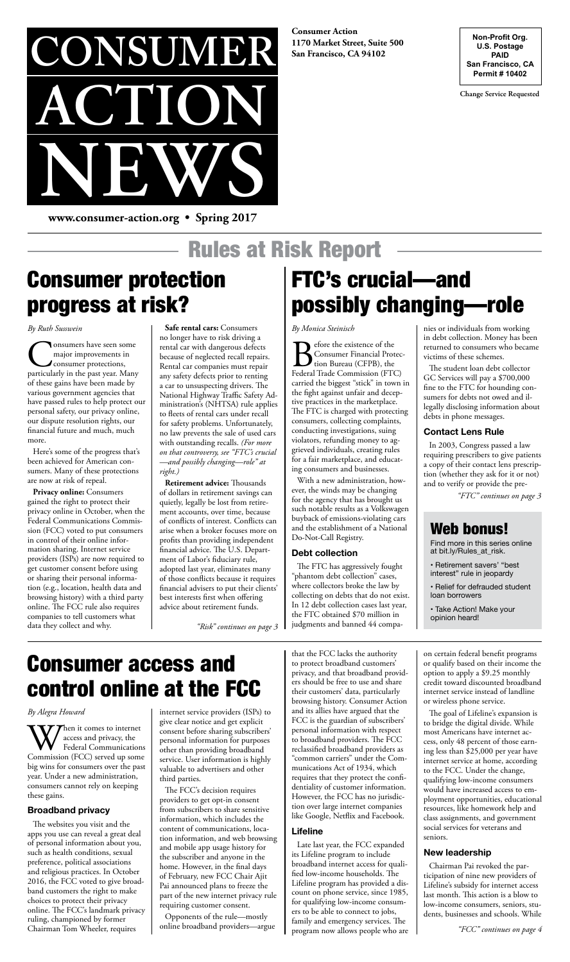

**[www.consumer-](http://www.consumer-action.org)action.org • Spring 2017**

**Change Service Requested** 

### **Non-Profit Org. U.S. Postage PAID San Francisco, CA Permit # 10402**

**Consumer Action**

**1170 Market Street, Suite 500 San Francisco, CA 94102**

Rules at Risk Report

## Consumer protection progress at risk?

*By Ruth Susswein*

Consumers have seen some<br>major improvements in<br>particularly in the past year. Many major improvements in consumer protections, of these gains have been made by various government agencies that have passed rules to help protect our personal safety, our privacy online, our dispute resolution rights, our financial future and much, much more.

Here's some of the progress that's been achieved for American consumers. Many of these protections are now at risk of repeal.

**Privacy online:** Consumers gained the right to protect their privacy online in October, when the Federal Communications Commission (FCC) voted to put consumers in control of their online information sharing. Internet service providers (ISPs) are now required to get customer consent before using or sharing their personal information (e.g., location, health data and browsing history) with a third party online. The FCC rule also requires companies to tell customers what data they collect and why.

**B** Consumer Financial Prot<br>Federal Trade Commission (FTG Consumer Financial Protection Bureau (CFPB), the Federal Trade Commission (FTC) carried the biggest "stick" in town in the fight against unfair and deceptive practices in the marketplace. The FTC is charged with protecting consumers, collecting complaints, conducting investigations, suing violators, refunding money to aggrieved individuals, creating rules for a fair marketplace, and educating consumers and businesses.

**Safe rental cars:** Consumers no longer have to risk driving a rental car with dangerous defects because of neglected recall repairs. Rental car companies must repair any safety defects prior to renting a car to unsuspecting drivers. The National Highway Traffic Safety Administration's (NHTSA) rule applies to fleets of rental cars under recall for safety problems. Unfortunately, no law prevents the sale of used cars with outstanding recalls. *(For more on that controversy, see "FTC's crucial —and possibly changing—role" at right.)*

**Retirement advice:** Thousands of dollars in retirement savings can quietly, legally be lost from retirement accounts, over time, because of conflicts of interest. Conflicts can arise when a broker focuses more on profits than providing independent financial advice. The U.S. Department of Labor's fiduciary rule, adopted last year, eliminates many of those conflicts because it requires financial advisers to put their clients' best interests first when offering advice about retirement funds.

When it comes to internet<br>Commission (FCC) served up some<br>Commission (FCC) served up some access and privacy, the Federal Communications big wins for consumers over the past year. Under a new administration, consumers cannot rely on keeping these gains.

# FTC's crucial—and possibly changing—role

*By Monica Steinisch*

With a new administration, however, the winds may be changing for the agency that has brought us such notable results as a Volkswagen buyback of emissions-violating cars and the establishment of a National Do-Not-Call Registry.

## **Debt collection**

The FTC has aggressively fought "phantom debt collection" cases, where collectors broke the law by collecting on debts that do not exist. In 12 debt collection cases last year, the FTC obtained \$70 million in judgments and banned 44 companies or individuals from working in debt collection. Money has been returned to consumers who became victims of these schemes.

The student loan debt collector GC Services will pay a \$700,000 fine to the FTC for hounding consumers for debts not owed and illegally disclosing information about debts in phone messages.

## **Contact Lens Rule**

In 2003, Congress passed a law requiring prescribers to give patients a copy of their contact lens prescription (whether they ask for it or not) and to verify or provide the pre-

Consumer access and

## control online at the FCC

*By Alegra Howard*

## **Broadband privacy**

The websites you visit and the apps you use can reveal a great deal of personal information about you, such as health conditions, sexual preference, political associations and religious practices. In October 2016, the FCC voted to give broadband customers the right to make choices to protect their privacy online. The FCC's landmark privacy ruling, championed by former Chairman Tom Wheeler, requires

internet service providers (ISPs) to give clear notice and get explicit consent before sharing subscribers' personal information for purposes other than providing broadband service. User information is highly valuable to advertisers and other third parties.

The FCC's decision requires providers to get opt-in consent from subscribers to share sensitive information, which includes the content of communications, location information, and web browsing and mobile app usage history for the subscriber and anyone in the home. However, in the final days of February, new FCC Chair Ajit Pai announced plans to freeze the part of the new internet privacy rule requiring customer consent.

Opponents of the rule—mostly online broadband providers—argue that the FCC lacks the authority to protect broadband customers' privacy, and that broadband providers should be free to use and share their customers' data, particularly browsing history. Consumer Action and its allies have argued that the FCC is the guardian of subscribers' personal information with respect to broadband providers. The FCC reclassified broadband providers as "common carriers" under the Communications Act of 1934, which requires that they protect the confidentiality of customer information. However, the FCC has no jurisdiction over large internet companies like Google, Netflix and Facebook.

## **Lifeline**

Late last year, the FCC expanded its Lifeline program to include broadband internet access for qualified low-income households. The Lifeline program has provided a discount on phone service, since 1985, for qualifying low-income consumers to be able to connect to jobs, family and emergency services. The program now allows people who are on certain federal benefit programs or qualify based on their income the option to apply a \$9.25 monthly credit toward discounted broadband

internet service instead of landline or wireless phone service.

The goal of Lifeline's expansion is to bridge the digital divide. While most Americans have internet access, only 48 percent of those earning less than \$25,000 per year have internet service at home, according to the FCC. Under the change, qualifying low-income consumers would have increased access to employment opportunities, educational resources, like homework help and class assignments, and government social services for veterans and seniors.

## **New leadership**

Chairman Pai revoked the participation of nine new providers of Lifeline's subsidy for internet access last month. This action is a blow to low-income consumers, seniors, students, businesses and schools. While

*"Risk" continues on page 3*

*"FTC" continues on page 3*

*"FCC" continues on page 4*

## Web bonus!

Find more in this series online at [bit.ly/Rules\\_at\\_risk.](http://bit.ly/Rules_at_risk)

• Retirement savers' "best interest" rule in jeopardy

• Relief for defrauded student loan borrowers

• Take Action! Make your opinion heard!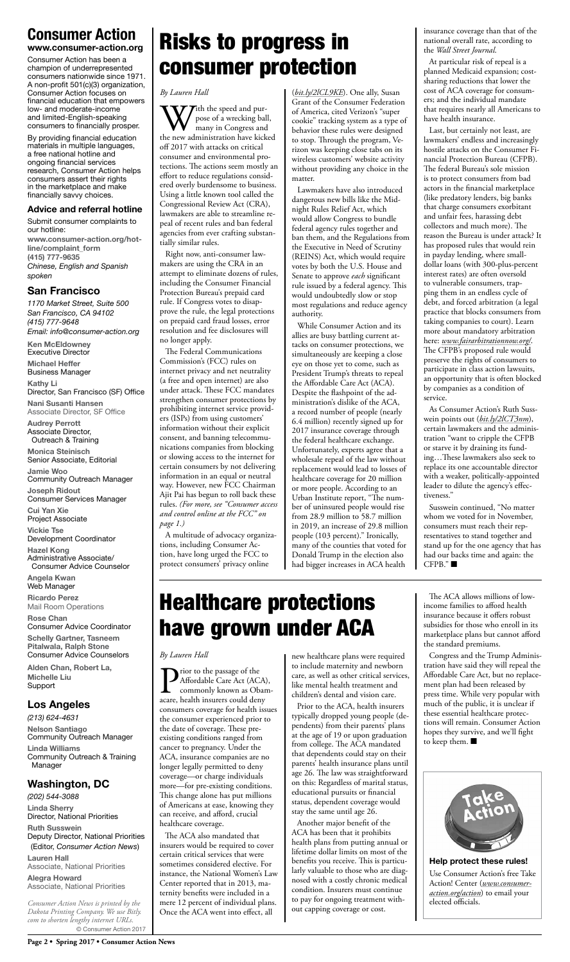## **Consumer Action**

### **[www.consumer-action.org](http://www.consumer-action.org)**

Consumer Action has been a champion of underrepresented consumers nationwide since 1971. A non-profit 501(c)(3) organization, Consumer Action focuses on financial education that empowers low- and moderate-income and limited-English-speaking consumers to financially prosper.

By providing financial education materials in multiple languages, a free national hotline and ongoing financial services research, Consumer Action helps consumers assert their rights in the marketplace and make financially savvy choices.

### **Advice and referral hotline**

Submit consumer complaints to our hotline: **[www.consumer-action.org/hot](http://www.consumer-action.org/hotline/complaint_form/)[line/complaint\\_form](http://www.consumer-action.org/hotline/complaint_form/) (415) 777-9635** *Chinese, English and Spanish spoken*

## **San Francisco**

*1170 Market Street, Suite 500 San Francisco, CA 94102 (415) 777-9648 Email: [info@consumer-action.org](mailto:info@consumer-action.org)*

**Ken McEldowney** Executive Director

**Michael Heffer** Business Manager **Kathy Li** Director, San Francisco (SF) Office **Nani Susanti Hansen**

Associate Director, SF Office **Audrey Perrott**

Associate Director, Outreach & Training

**Monica Steinisch** Senior Associate, Editorial

**Jamie Woo** Community Outreach Manager

**Joseph Ridout** Consumer Services Manager

**Cui Yan Xie** Project Associate

**Vickie Tse** Development Coordinator

With the speed and pur-<br>pose of a wrecking ball,<br>the new administration have kicked pose of a wrecking ball, many in Congress and off 2017 with attacks on critical consumer and environmental protections. The actions seem mostly an effort to reduce regulations considered overly burdensome to business. Using a little known tool called the Congressional Review Act (CRA), lawmakers are able to streamline repeal of recent rules and ban federal agencies from ever crafting substantially similar rules.

**Hazel Kong** Administrative Associate/ Consumer Advice Counselor

**Angela Kwan** Web Manager

**Ricardo Perez** Mail Room Operations

**Rose Chan** Consumer Advice Coordinator

**Schelly Gartner, Tasneem Pitalwala, Ralph Stone** Consumer Advice Counselors

**Alden Chan, Robert La, Michelle Liu** Support

## **Los Angeles**

*(213) 624-4631*

**Nelson Santiago** Community Outreach Manager **Linda Williams** Community Outreach & Training Manager

## **Washington, DC**

*(202) 544-3088* **Linda Sherry** Director, National Priorities **Ruth Susswein** Deputy Director, National Priorities (Editor, *Consumer Action News*) **Lauren Hall** Associate, National Priorities **Alegra Howard** Associate, National Priorities

*Consumer Action News is printed by the Dakota Printing Company. We use Bitly. com to shorten lengthy internet URLs.*  © Consumer Action 2017

## Risks to progress in consumer protection

*By Lauren Hall*

**P** Affordable Care Act (AC.<br>
commonly known as Ob.<br>
acare, health insurers could den Affordable Care Act (ACA),

Right now, anti-consumer lawmakers are using the CRA in an attempt to eliminate dozens of rules, including the Consumer Financial Protection Bureau's prepaid card rule. If Congress votes to disapprove the rule, the legal protections on prepaid card fraud losses, error resolution and fee disclosures will no longer apply.

**L** commonly known as Obamacare, health insurers could deny consumers coverage for health issues the consumer experienced prior to the date of coverage. These preexisting conditions ranged from cancer to pregnancy. Under the ACA, insurance companies are no longer legally permitted to deny coverage—or charge individuals more—for pre-existing conditions. This change alone has put millions of Americans at ease, knowing they can receive, and afford, crucial healthcare coverage.

The Federal Communications Commission's (FCC) rules on internet privacy and net neutrality (a free and open internet) are also under attack. These FCC mandates strengthen consumer protections by prohibiting internet service providers (ISPs) from using customers' information without their explicit consent, and banning telecommunications companies from blocking or slowing access to the internet for certain consumers by not delivering information in an equal or neutral way. However, new FCC Chairman Ajit Pai has begun to roll back these rules. *(For more, see "Consumer access and control online at the FCC" on page 1.)*

A multitude of advocacy organizations, including Consumer Action, have long urged the FCC to protect consumers' privacy online

> Congress and the Trump Administration have said they will repeal the Affordable Care Act, but no replacement plan had been released by press time. While very popular with much of the public, it is unclear if these essential healthcare protections will remain. Consumer Action hopes they survive, and we'll fight to keep them.  $\blacksquare$

(*[bit.ly/2lCL9KE](http://bit.ly/2lCL9KE)*). One ally, Susan Grant of the Consumer Federation of America, cited Verizon's "super cookie" tracking system as a type of behavior these rules were designed to stop. Through the program, Verizon was keeping close tabs on its wireless customers' website activity without providing any choice in the matter.

Lawmakers have also introduced dangerous new bills like the Midnight Rules Relief Act, which would allow Congress to bundle federal agency rules together and ban them, and the Regulations from the Executive in Need of Scrutiny (REINS) Act, which would require votes by both the U.S. House and Senate to approve *each* significant rule issued by a federal agency. This would undoubtedly slow or stop most regulations and reduce agency authority.

> Susswein continued, "No matter whom we voted for in November, consumers must reach their representatives to stand together and stand up for the one agency that has had our backs time and again: the  $CFPB.$ "

While Consumer Action and its allies are busy battling current attacks on consumer protections, we simultaneously are keeping a close eye on those yet to come, such as President Trump's threats to repeal the Affordable Care Act (ACA). Despite the flashpoint of the administration's dislike of the ACA, a record number of people (nearly 6.4 million) recently signed up for 2017 insurance coverage through the federal healthcare exchange. Unfortunately, experts agree that a wholesale repeal of the law without replacement would lead to losses of healthcare coverage for 20 million or more people. According to an Urban Institute report, "The number of uninsured people would rise from 28.9 million to 58.7 million in 2019, an increase of 29.8 million people (103 percent)." Ironically, many of the counties that voted for Donald Trump in the election also had bigger increases in ACA health

## Healthcare protections have grown under ACA

### *By Lauren Hall*

The ACA also mandated that insurers would be required to cover certain critical services that were sometimes considered elective. For instance, the National Women's Law Center reported that in 2013, maternity benefits were included in a mere 12 percent of individual plans. Once the ACA went into effect, all



new healthcare plans were required to include maternity and newborn care, as well as other critical services, like mental health treatment and children's dental and vision care. Prior to the ACA, health insurers typically dropped young people (dependents) from their parents' plans at the age of 19 or upon graduation from college. The ACA mandated that dependents could stay on their parents' health insurance plans until age 26. The law was straightforward on this: Regardless of marital status, educational pursuits or financial status, dependent coverage would stay the same until age 26. Another major benefit of the ACA has been that it prohibits health plans from putting annual or lifetime dollar limits on most of the benefits you receive. This is particularly valuable to those who are diagnosed with a costly chronic medical condition. Insurers must continue to pay for ongoing treatment without capping coverage or cost.

The ACA allows millions of lowincome families to afford health insurance because it offers robust subsidies for those who enroll in its marketplace plans but cannot afford the standard premiums.

insurance coverage than that of the national overall rate, according to the *Wall Street Journal*.

At particular risk of repeal is a planned Medicaid expansion; costsharing reductions that lower the cost of ACA coverage for consumers; and the individual mandate that requires nearly all Americans to have health insurance.

Last, but certainly not least, are lawmakers' endless and increasingly hostile attacks on the Consumer Financial Protection Bureau (CFPB). The federal Bureau's sole mission is to protect consumers from bad actors in the financial marketplace (like predatory lenders, big banks that charge consumers exorbitant and unfair fees, harassing debt collectors and much more). The reason the Bureau is under attack? It has proposed rules that would rein in payday lending, where smalldollar loans (with 300-plus-percent interest rates) are often oversold to vulnerable consumers, trapping them in an endless cycle of debt, and forced arbitration (a legal practice that blocks consumers from taking companies to court). Learn more about mandatory arbitration here: *[www.fairarbitrationnow.org/](http://www.fairarbitrationnow.org/)*. The CFPB's proposed rule would preserve the rights of consumers to participate in class action lawsuits, an opportunity that is often blocked by companies as a condition of service.

As Consumer Action's Ruth Susswein points out (*[bit.ly/2lCT3nm](http://bit.ly/2lCT3nm)*), certain lawmakers and the administration "want to cripple the CFPB or starve it by draining its funding…These lawmakers also seek to replace its one accountable director with a weaker, politically-appointed leader to dilute the agency's effectiveness."

**Help protect these rules!** Use Consumer Action's free Take Action! Center (*[www.consumer](http://www.consumer-action.org/action)[action.org/action](http://www.consumer-action.org/action)*) to email your elected officials.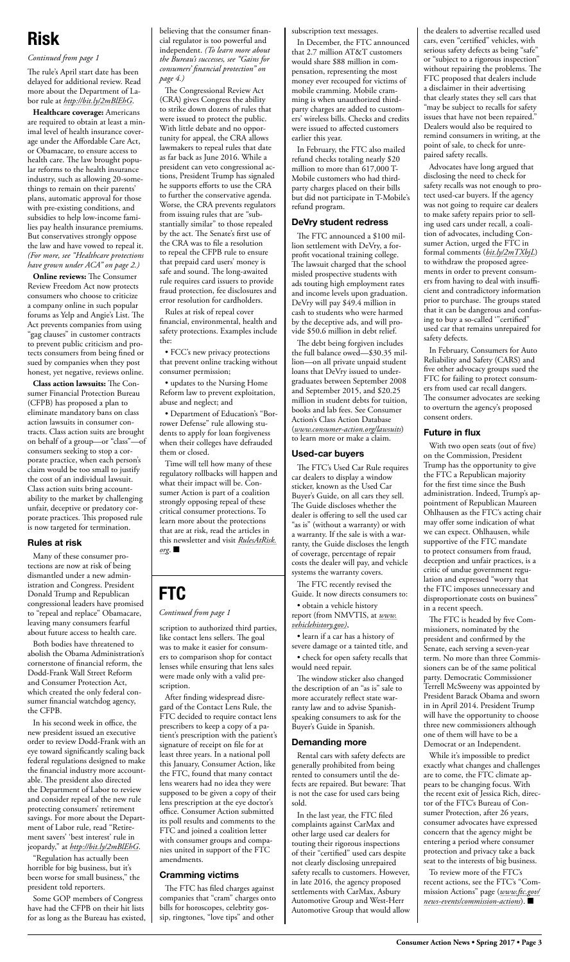## **Risk**

### *Continued from page 1*

## **FTC**

### *Continued from page 1*

The rule's April start date has been delayed for additional review. Read more about the Department of Labor rule at *<http://bit.ly/2mBlEhG>*.

**Healthcare coverage:** Americans are required to obtain at least a minimal level of health insurance coverage under the Affordable Care Act, or Obamacare, to ensure access to health care. The law brought popular reforms to the health insurance industry, such as allowing 20-somethings to remain on their parents' plans, automatic approval for those with pre-existing conditions, and subsidies to help low-income families pay health insurance premiums. But conservatives strongly oppose the law and have vowed to repeal it. *(For more, see "Healthcare protections have grown under ACA" on page 2.)*

**Online reviews:** The Consumer Review Freedom Act now protects consumers who choose to criticize a company online in such popular forums as Yelp and Angie's List. The Act prevents companies from using "gag clauses" in customer contracts to prevent public criticism and protects consumers from being fined or sued by companies when they post honest, yet negative, reviews online.

**Class action lawsuits:** The Consumer Financial Protection Bureau (CFPB) has proposed a plan to eliminate mandatory bans on class action lawsuits in consumer contracts. Class action suits are brought on behalf of a group—or "class"—of consumers seeking to stop a corporate practice, when each person's claim would be too small to justify the cost of an individual lawsuit. Class action suits bring accountability to the market by challenging unfair, deceptive or predatory corporate practices. This proposed rule is now targeted for termination.

### **Rules at risk**

Many of these consumer protections are now at risk of being dismantled under a new administration and Congress. President Donald Trump and Republican congressional leaders have promised to "repeal and replace" Obamacare, leaving many consumers fearful about future access to health care.

Both bodies have threatened to abolish the Obama Administration's cornerstone of financial reform, the Dodd-Frank Wall Street Reform and Consumer Protection Act, which created the only federal consumer financial watchdog agency, the CFPB.

Time will tell how many of these regulatory rollbacks will happen and what their impact will be. Consumer Action is part of a coalition strongly opposing repeal of these critical consumer protections. To learn more about the protections that are at risk, read the articles in this newsletter and visit *[RulesAtRisk.](http://www.rulesatrisk.org)*  $$ 

scription to authorized third parties, like contact lens sellers. The goal was to make it easier for consumers to comparison shop for contact lenses while ensuring that lens sales were made only with a valid pre**ription** 

In his second week in office, the new president issued an executive order to review Dodd-Frank with an eye toward significantly scaling back federal regulations designed to make the financial industry more accountable. The president also directed the Department of Labor to review and consider repeal of the new rule protecting consumers' retirement savings. For more about the Department of Labor rule, read "Retirement savers' 'best interest' rule in jeopardy," at *<http://bit.ly/2mBlEhG>*.

"Regulation has actually been horrible for big business, but it's been worse for small business," the president told reporters.

Some GOP members of Congress have had the CFPB on their hit lists for as long as the Bureau has existed,

believing that the consumer financial regulator is too powerful and independent. *(To learn more about the Bureau's successes, see "Gains for consumers' financial protection" on page 4.)*

The Congressional Review Act (CRA) gives Congress the ability to strike down dozens of rules that were issued to protect the public. With little debate and no opportunity for appeal, the CRA allows lawmakers to repeal rules that date as far back as June 2016. While a president can veto congressional actions, President Trump has signaled he supports efforts to use the CRA to further the conservative agenda. Worse, the CRA prevents regulators from issuing rules that are "substantially similar" to those repealed by the act. The Senate's first use of the CRA was to file a resolution to repeal the CFPB rule to ensure that prepaid card users' money is safe and sound. The long-awaited rule requires card issuers to provide fraud protection, fee disclosures and error resolution for cardholders.

Rules at risk of repeal cover financial, environmental, health and safety protections. Examples include the:

• FCC's new privacy protections that prevent online tracking without consumer permission;

• updates to the Nursing Home Reform law to prevent exploitation, abuse and neglect; and

• Department of Education's "Borrower Defense" rule allowing students to apply for loan forgiveness when their colleges have defrauded them or closed.

> The FTC is headed by five Commissioners, nominated by the president and confirmed by the Senate, each serving a seven-year term. No more than three Commissioners can be of the same political party. Democratic Commissioner Terrell McSweeny was appointed by President Barack Obama and sworn in in April 2014. President Trump will have the opportunity to choose three new commissioners although one of them will have to be a Democrat or an Independent. While it's impossible to predict exactly what changes and challenges are to come, the FTC climate appears to be changing focus. With the recent exit of Jessica Rich, director of the FTC's Bureau of Consumer Protection, after 26 years, consumer advocates have expressed concern that the agency might be entering a period where consumer protection and privacy take a back seat to the interests of big business. To review more of the FTC's recent actions, see the FTC's "Commission Actions" page (*[www.ftc.gov/](https://www.ftc.gov/news-events/commission-actions)*  $new$ *s-events/commission-actions*).

After finding widespread disregard of the Contact Lens Rule, the FTC decided to require contact lens prescribers to keep a copy of a patient's prescription with the patient's signature of receipt on file for at least three years. In a national poll this January, Consumer Action, like the FTC, found that many contact lens wearers had no idea they were supposed to be given a copy of their lens prescription at the eye doctor's office. Consumer Action submitted its poll results and comments to the FTC and joined a coalition letter with consumer groups and companies united in support of the FTC amendments.

### **Cramming victims**

The FTC has filed charges against companies that "cram" charges onto bills for horoscopes, celebrity gossip, ringtones, "love tips" and other

subscription text messages.

In December, the FTC announced that 2.7 million AT&T customers would share \$88 million in compensation, representing the most money ever recouped for victims of mobile cramming. Mobile cramming is when unauthorized thirdparty charges are added to customers' wireless bills. Checks and credits were issued to affected customers earlier this year.

In February, the FTC also mailed refund checks totaling nearly \$20 million to more than 617,000 T-Mobile customers who had thirdparty charges placed on their bills but did not participate in T-Mobile's refund program.

### **DeVry student redress**

The FTC announced a \$100 million settlement with DeVry, a forprofit vocational training college. The lawsuit charged that the school misled prospective students with ads touting high employment rates and income levels upon graduation. DeVry will pay \$49.4 million in cash to students who were harmed by the deceptive ads, and will provide \$50.6 million in debt relief.

The debt being forgiven includes the full balance owed—\$30.35 million—on all private unpaid student loans that DeVry issued to undergraduates between September 2008 and September 2015, and \$20.25 million in student debts for tuition, books and lab fees. See Consumer Action's Class Action Database (*[www.consumer-action.org/lawsuits](http://www.consumer-action.org/lawsuits)*) to learn more or make a claim.

## **Used-car buyers**

The FTC's Used Car Rule requires car dealers to display a window sticker, known as the Used Car Buyer's Guide, on all cars they sell. The Guide discloses whether the dealer is offering to sell the used car "as is" (without a warranty) or with a warranty. If the sale is with a warranty, the Guide discloses the length of coverage, percentage of repair costs the dealer will pay, and vehicle systems the warranty covers.

The FTC recently revised the Guide. It now directs consumers to:

• obtain a vehicle history report (from NMVTIS, at *[www.](https://www.vehiclehistory.gov/) [vehiclehistory.gov](https://www.vehiclehistory.gov/))*,

• learn if a car has a history of severe damage or a tainted title, and

• check for open safety recalls that would need repair.

The window sticker also changed the description of an "as is" sale to more accurately reflect state warranty law and to advise Spanishspeaking consumers to ask for the Buyer's Guide in Spanish.

### **Demanding more**

Rental cars with safety defects are generally prohibited from being rented to consumers until the defects are repaired. But beware: That is not the case for used cars being sold.

In the last year, the FTC filed complaints against CarMax and other large used car dealers for touting their rigorous inspections of their "certified" used cars despite not clearly disclosing unrepaired safety recalls to customers. However, in late 2016, the agency proposed settlements with CarMax, Asbury Automotive Group and West-Herr Automotive Group that would allow the dealers to advertise recalled used cars, even "certified" vehicles, with serious safety defects as being "safe" or "subject to a rigorous inspection" without repairing the problems. The FTC proposed that dealers include a disclaimer in their advertising that clearly states they sell cars that "may be subject to recalls for safety issues that have not been repaired." Dealers would also be required to remind consumers in writing, at the point of sale, to check for unrepaired safety recalls.

Advocates have long argued that disclosing the need to check for safety recalls was not enough to protect used-car buyers. If the agency was not going to require car dealers to make safety repairs prior to selling used cars under recall, a coalition of advocates, including Consumer Action, urged the FTC in formal comments (*[bit.ly/2mTXbjL](http://bit.ly/2mTXbjL)*) to withdraw the proposed agreements in order to prevent consumers from having to deal with insufficient and contradictory information prior to purchase. The groups stated that it can be dangerous and confusing to buy a so-called '"certified" used car that remains unrepaired for safety defects.

In February, Consumers for Auto Reliability and Safety (CARS) and five other advocacy groups sued the FTC for failing to protect consumers from used car recall dangers. The consumer advocates are seeking to overturn the agency's proposed consent orders.

## **Future in flux**

With two open seats (out of five) on the Commission, President Trump has the opportunity to give the FTC a Republican majority for the first time since the Bush administration. Indeed, Trump's appointment of Republican Maureen Ohlhausen as the FTC's acting chair may offer some indication of what we can expect. Ohlhausen, while supportive of the FTC mandate to protect consumers from fraud, deception and unfair practices, is a critic of undue government regulation and expressed "worry that the FTC imposes unnecessary and disproportionate costs on business" in a recent speech.